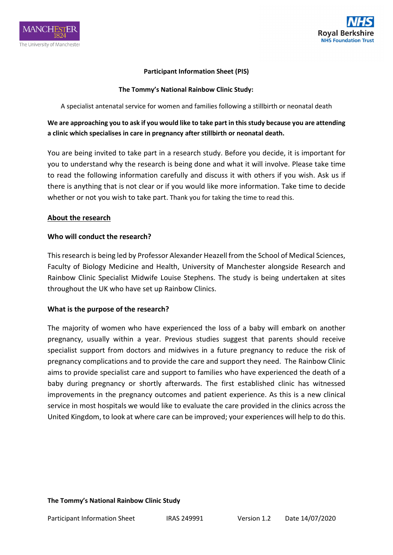



#### **Participant Information Sheet (PIS)**

#### **The Tommy's National Rainbow Clinic Study:**

A specialist antenatal service for women and families following a stillbirth or neonatal death

# **We are approaching you to ask if you would like to take part in this study because you are attending a clinic which specialises in care in pregnancy after stillbirth or neonatal death.**

You are being invited to take part in a research study. Before you decide, it is important for you to understand why the research is being done and what it will involve. Please take time to read the following information carefully and discuss it with others if you wish. Ask us if there is anything that is not clear or if you would like more information. Take time to decide whether or not you wish to take part. Thank you for taking the time to read this.

#### **About the research**

#### **Who will conduct the research?**

This research is being led by Professor Alexander Heazell from the School of Medical Sciences, Faculty of Biology Medicine and Health, University of Manchester alongside Research and Rainbow Clinic Specialist Midwife Louise Stephens. The study is being undertaken at sites throughout the UK who have set up Rainbow Clinics.

#### **What is the purpose of the research?**

The majority of women who have experienced the loss of a baby will embark on another pregnancy, usually within a year. Previous studies suggest that parents should receive specialist support from doctors and midwives in a future pregnancy to reduce the risk of pregnancy complications and to provide the care and support they need. The Rainbow Clinic aims to provide specialist care and support to families who have experienced the death of a baby during pregnancy or shortly afterwards. The first established clinic has witnessed improvements in the pregnancy outcomes and patient experience. As this is a new clinical service in most hospitals we would like to evaluate the care provided in the clinics across the United Kingdom, to look at where care can be improved; your experiences will help to do this.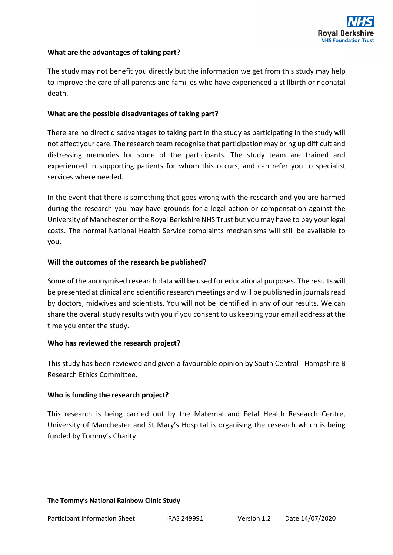

### **What are the advantages of taking part?**

The study may not benefit you directly but the information we get from this study may help to improve the care of all parents and families who have experienced a stillbirth or neonatal death.

#### **What are the possible disadvantages of taking part?**

There are no direct disadvantages to taking part in the study as participating in the study will not affect your care. The research team recognise that participation may bring up difficult and distressing memories for some of the participants. The study team are trained and experienced in supporting patients for whom this occurs, and can refer you to specialist services where needed.

In the event that there is something that goes wrong with the research and you are harmed during the research you may have grounds for a legal action or compensation against the University of Manchester or the Royal Berkshire NHS Trust but you may have to pay your legal costs. The normal National Health Service complaints mechanisms will still be available to you.

#### **Will the outcomes of the research be published?**

Some of the anonymised research data will be used for educational purposes. The results will be presented at clinical and scientific research meetings and will be published in journals read by doctors, midwives and scientists. You will not be identified in any of our results. We can share the overall study results with you if you consent to us keeping your email address at the time you enter the study.

#### **Who has reviewed the research project?**

This study has been reviewed and given a favourable opinion by South Central - Hampshire B Research Ethics Committee.

#### **Who is funding the research project?**

This research is being carried out by the Maternal and Fetal Health Research Centre, University of Manchester and St Mary's Hospital is organising the research which is being funded by Tommy's Charity.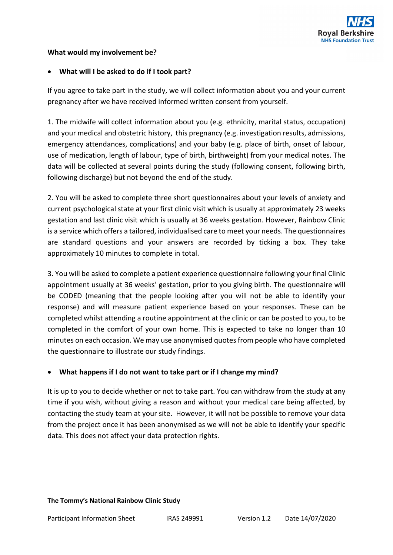

### **What would my involvement be?**

### • **What will I be asked to do if I took part?**

If you agree to take part in the study, we will collect information about you and your current pregnancy after we have received informed written consent from yourself.

1. The midwife will collect information about you (e.g. ethnicity, marital status, occupation) and your medical and obstetric history, this pregnancy (e.g. investigation results, admissions, emergency attendances, complications) and your baby (e.g. place of birth, onset of labour, use of medication, length of labour, type of birth, birthweight) from your medical notes. The data will be collected at several points during the study (following consent, following birth, following discharge) but not beyond the end of the study.

2. You will be asked to complete three short questionnaires about your levels of anxiety and current psychological state at your first clinic visit which is usually at approximately 23 weeks gestation and last clinic visit which is usually at 36 weeks gestation. However, Rainbow Clinic is a service which offers a tailored, individualised care to meet your needs. The questionnaires are standard questions and your answers are recorded by ticking a box. They take approximately 10 minutes to complete in total.

3. You will be asked to complete a patient experience questionnaire following your final Clinic appointment usually at 36 weeks' gestation, prior to you giving birth. The questionnaire will be CODED (meaning that the people looking after you will not be able to identify your response) and will measure patient experience based on your responses. These can be completed whilst attending a routine appointment at the clinic or can be posted to you, to be completed in the comfort of your own home. This is expected to take no longer than 10 minutes on each occasion. We may use anonymised quotes from people who have completed the questionnaire to illustrate our study findings.

# • **What happens if I do not want to take part or if I change my mind?**

It is up to you to decide whether or not to take part. You can withdraw from the study at any time if you wish, without giving a reason and without your medical care being affected, by contacting the study team at your site. However, it will not be possible to remove your data from the project once it has been anonymised as we will not be able to identify your specific data. This does not affect your data protection rights.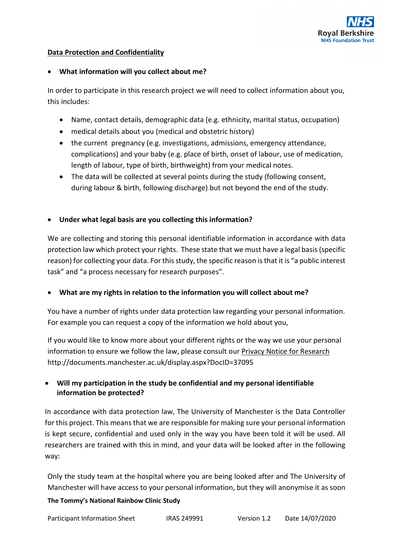

### **Data Protection and Confidentiality**

### • **What information will you collect about me?**

In order to participate in this research project we will need to collect information about you, this includes:

- Name, contact details, demographic data (e.g. ethnicity, marital status, occupation)
- medical details about you (medical and obstetric history)
- the current pregnancy (e.g. investigations, admissions, emergency attendance, complications) and your baby (e.g. place of birth, onset of labour, use of medication, length of labour, type of birth, birthweight) from your medical notes.
- The data will be collected at several points during the study (following consent, during labour & birth, following discharge) but not beyond the end of the study.

# • **Under what legal basis are you collecting this information?**

We are collecting and storing this personal identifiable information in accordance with data protection law which protect your rights. These state that we must have a legal basis (specific reason) for collecting your data. For this study, the specific reason is that it is "a public interest task" and "a process necessary for research purposes".

# • **What are my rights in relation to the information you will collect about me?**

You have a number of rights under data protection law regarding your personal information. For example you can request a copy of the information we hold about you,

If you would like to know more about your different rights or the way we use your personal information to ensure we follow the law, please consult our [Privacy Notice for Research](http://documents.manchester.ac.uk/display.aspx?DocID=37095) http://documents.manchester.ac.uk/display.aspx?DocID=37095

# • **Will my participation in the study be confidential and my personal identifiable information be protected?**

In accordance with data protection law, The University of Manchester is the Data Controller for this project. This means that we are responsible for making sure your personal information is kept secure, confidential and used only in the way you have been told it will be used. All researchers are trained with this in mind, and your data will be looked after in the following way:

Only the study team at the hospital where you are being looked after and The University of Manchester will have access to your personal information, but they will anonymise it as soon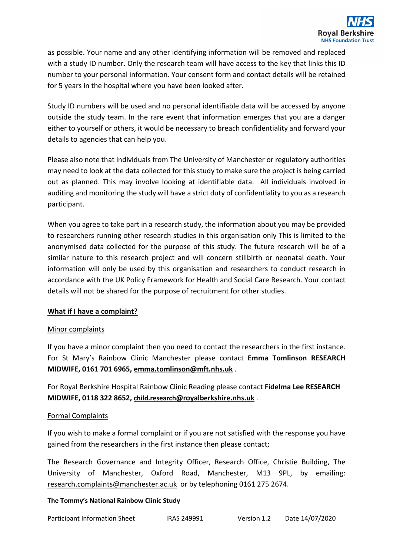as possible. Your name and any other identifying information will be removed and replaced with a study ID number. Only the research team will have access to the key that links this ID number to your personal information. Your consent form and contact details will be retained for 5 years in the hospital where you have been looked after.

Study ID numbers will be used and no personal identifiable data will be accessed by anyone outside the study team. In the rare event that information emerges that you are a danger either to yourself or others, it would be necessary to breach confidentiality and forward your details to agencies that can help you.

Please also note that individuals from The University of Manchester or regulatory authorities may need to look at the data collected for this study to make sure the project is being carried out as planned. This may involve looking at identifiable data. All individuals involved in auditing and monitoring the study will have a strict duty of confidentiality to you as a research participant.

When you agree to take part in a research study, the information about you may be provided to researchers running other research studies in this organisation only This is limited to the anonymised data collected for the purpose of this study. The future research will be of a similar nature to this research project and will concern stillbirth or neonatal death. Your information will only be used by this organisation and researchers to conduct research in accordance with the UK Policy Framework for Health and Social Care Research. Your contact details will not be shared for the purpose of recruitment for other studies.

# **What if I have a complaint?**

# Minor complaints

If you have a minor complaint then you need to contact the researchers in the first instance. For St Mary's Rainbow Clinic Manchester please contact **Emma Tomlinson RESEARCH MIDWIFE, 0161 701 6965[, emma.tomlinson@mft.nhs.uk](mailto:emma.tomlinson@mft.nhs.uk)** .

For Royal Berkshire Hospital Rainbow Clinic Reading please contact **Fidelma Lee RESEARCH MIDWIFE, 0118 322 8652[, child.research@royalberkshire.nhs.uk](mailto:fidelma.lee@royalberkshire.nhs.uk)** .

# Formal Complaints

If you wish to make a formal complaint or if you are not satisfied with the response you have gained from the researchers in the first instance then please contact;

The Research Governance and Integrity Officer, Research Office, Christie Building, The University of Manchester, Oxford Road, Manchester, M13 9PL, by emailing: [research.complaints@manchester.ac.uk](mailto:research.complaints@manchester.ac.uk) or by telephoning 0161 275 2674.